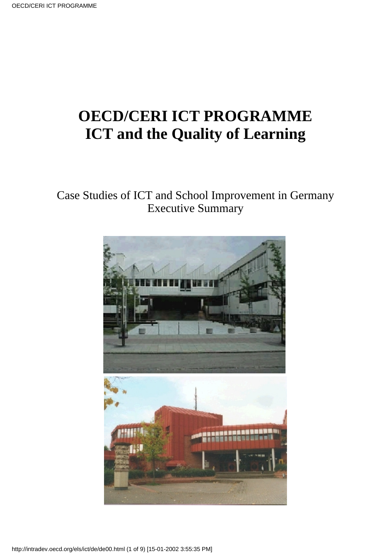# **OECD/CERI ICT PROGRAMME ICT and the Quality of Learning**

#### Case Studies of ICT and School Improvement in Germany Executive Summary

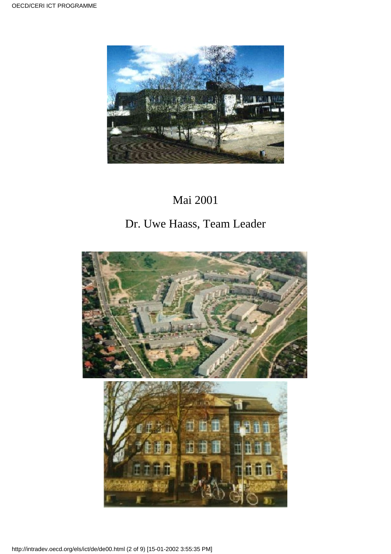

# Mai 2001

### Dr. Uwe Haass, Team Leader



http://intradev.oecd.org/els/ict/de/de00.html (2 of 9) [15-01-2002 3:55:35 PM]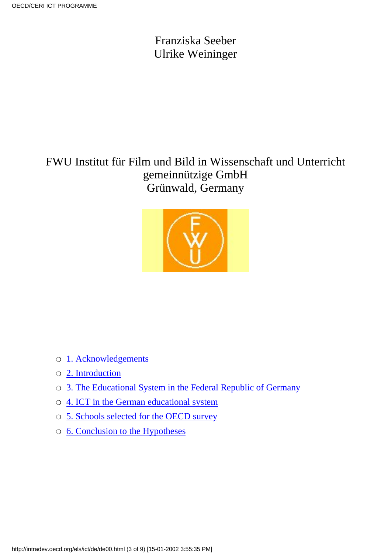Franziska Seeber Ulrike Weininger

FWU Institut für Film und Bild in Wissenschaft und Unterricht gemeinnützige GmbH Grünwald, Germany



- ❍ [1. Acknowledgements](#page-3-0)
- ❍ [2. Introduction](#page-3-1)
- ❍ [3. The Educational System in the Federal Republic of Germany](#page-4-0)
- ❍ [4. ICT in the German educational system](#page-5-0)
- ❍ [5. Schools selected for the OECD survey](#page-5-1)
- ❍ [6. Conclusion to the Hypotheses](#page-5-2)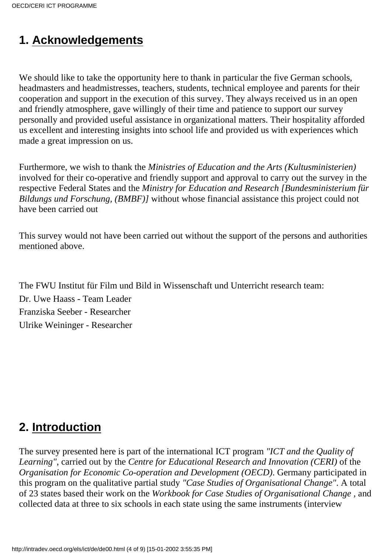#### <span id="page-3-0"></span>**1. Acknowledgements**

We should like to take the opportunity here to thank in particular the five German schools, headmasters and headmistresses, teachers, students, technical employee and parents for their cooperation and support in the execution of this survey. They always received us in an open and friendly atmosphere, gave willingly of their time and patience to support our survey personally and provided useful assistance in organizational matters. Their hospitality afforded us excellent and interesting insights into school life and provided us with experiences which made a great impression on us.

Furthermore, we wish to thank the *Ministries of Education and the Arts (Kultusministerien)* involved for their co-operative and friendly support and approval to carry out the survey in the respective Federal States and the *Ministry for Education and Research [Bundesministerium für Bildungs und Forschung, (BMBF)]* without whose financial assistance this project could not have been carried out

This survey would not have been carried out without the support of the persons and authorities mentioned above.

The FWU Institut für Film und Bild in Wissenschaft und Unterricht research team: Dr. Uwe Haass - Team Leader Franziska Seeber - Researcher Ulrike Weininger - Researcher

#### <span id="page-3-1"></span>**2. Introduction**

The survey presented here is part of the international ICT program *"ICT and the Quality of Learning"*, carried out by the *Centre for Educational Research and Innovation (CERI)* of the *Organisation for Economic Co-operation and Development (OECD)*. Germany participated in this program on the qualitative partial study *"Case Studies of Organisational Change"*. A total of 23 states based their work on the *Workbook for Case Studies of Organisational Change* , and collected data at three to six schools in each state using the same instruments (interview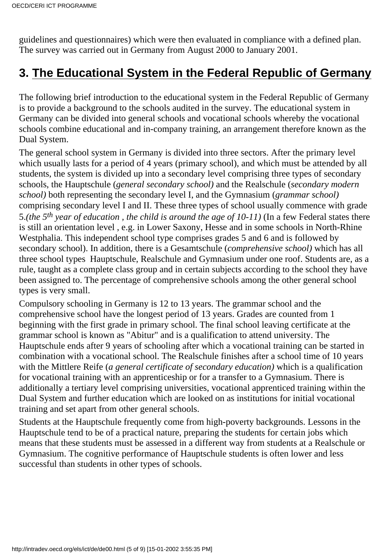guidelines and questionnaires) which were then evaluated in compliance with a defined plan. The survey was carried out in Germany from August 2000 to January 2001.

# <span id="page-4-0"></span>**3. The Educational System in the Federal Republic of Germany**

The following brief introduction to the educational system in the Federal Republic of Germany is to provide a background to the schools audited in the survey. The educational system in Germany can be divided into general schools and vocational schools whereby the vocational schools combine educational and in-company training, an arrangement therefore known as the Dual System.

The general school system in Germany is divided into three sectors. After the primary level which usually lasts for a period of 4 years (primary school), and which must be attended by all students, the system is divided up into a secondary level comprising three types of secondary schools, the Hauptschule (*general secondary school)* and the Realschule (*secondary modern school)* both representing the secondary level I, and the Gymnasium (*grammar school)* comprising secondary level I and II. These three types of school usually commence with grade 5.*(the 5th year of education , the child is around the age of 10-11)* (In a few Federal states there is still an orientation level , e.g. in Lower Saxony, Hesse and in some schools in North-Rhine Westphalia. This independent school type comprises grades 5 and 6 and is followed by secondary school). In addition, there is a Gesamtschule (*comprehensive school)* which has all three school types Hauptschule, Realschule and Gymnasium under one roof. Students are, as a rule, taught as a complete class group and in certain subjects according to the school they have been assigned to. The percentage of comprehensive schools among the other general school types is very small.

Compulsory schooling in Germany is 12 to 13 years. The grammar school and the comprehensive school have the longest period of 13 years. Grades are counted from 1 beginning with the first grade in primary school. The final school leaving certificate at the grammar school is known as "Abitur" and is a qualification to attend university. The Hauptschule ends after 9 years of schooling after which a vocational training can be started in combination with a vocational school. The Realschule finishes after a school time of 10 years with the Mittlere Reife (*a general certificate of secondary education)* which is a qualification for vocational training with an apprenticeship or for a transfer to a Gymnasium. There is additionally a tertiary level comprising universities, vocational apprenticed training within the Dual System and further education which are looked on as institutions for initial vocational training and set apart from other general schools.

Students at the Hauptschule frequently come from high-poverty backgrounds. Lessons in the Hauptschule tend to be of a practical nature, preparing the students for certain jobs which means that these students must be assessed in a different way from students at a Realschule or Gymnasium. The cognitive performance of Hauptschule students is often lower and less successful than students in other types of schools.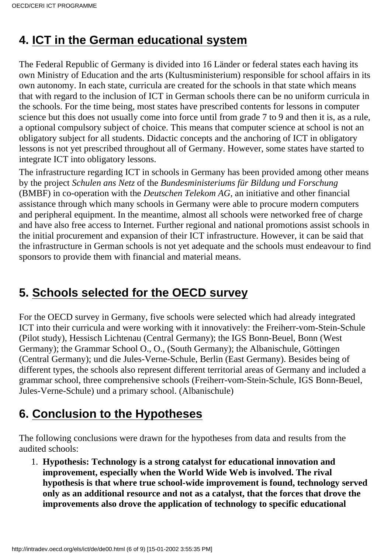### <span id="page-5-0"></span>**4. ICT in the German educational system**

The Federal Republic of Germany is divided into 16 Länder or federal states each having its own Ministry of Education and the arts (Kultusministerium) responsible for school affairs in its own autonomy. In each state, curricula are created for the schools in that state which means that with regard to the inclusion of ICT in German schools there can be no uniform curricula in the schools. For the time being, most states have prescribed contents for lessons in computer science but this does not usually come into force until from grade 7 to 9 and then it is, as a rule, a optional compulsory subject of choice. This means that computer science at school is not an obligatory subject for all students. Didactic concepts and the anchoring of ICT in obligatory lessons is not yet prescribed throughout all of Germany. However, some states have started to integrate ICT into obligatory lessons.

The infrastructure regarding ICT in schools in Germany has been provided among other means by the project *Schulen ans Netz* of the *Bundesministeriums für Bildung und Forschung* (BMBF) in co-operation with the *Deutschen Telekom AG,* an initiative and other financial assistance through which many schools in Germany were able to procure modern computers and peripheral equipment. In the meantime, almost all schools were networked free of charge and have also free access to Internet. Further regional and national promotions assist schools in the initial procurement and expansion of their ICT infrastructure. However, it can be said that the infrastructure in German schools is not yet adequate and the schools must endeavour to find sponsors to provide them with financial and material means.

# <span id="page-5-1"></span>**5. Schools selected for the OECD survey**

For the OECD survey in Germany, five schools were selected which had already integrated ICT into their curricula and were working with it innovatively: the Freiherr-vom-Stein-Schule (Pilot study), Hessisch Lichtenau (Central Germany); the IGS Bonn-Beuel, Bonn (West Germany); the Grammar School O., O., (South Germany); the Albanischule, Göttingen (Central Germany); und die Jules-Verne-Schule, Berlin (East Germany). Besides being of different types, the schools also represent different territorial areas of Germany and included a grammar school, three comprehensive schools (Freiherr-vom-Stein-Schule, IGS Bonn-Beuel, Jules-Verne-Schule) und a primary school. (Albanischule)

# <span id="page-5-2"></span>**6. Conclusion to the Hypotheses**

The following conclusions were drawn for the hypotheses from data and results from the audited schools:

**Hypothesis: Technology is a strong catalyst for educational innovation and** 1. **improvement, especially when the World Wide Web is involved. The rival hypothesis is that where true school-wide improvement is found, technology served only as an additional resource and not as a catalyst, that the forces that drove the improvements also drove the application of technology to specific educational**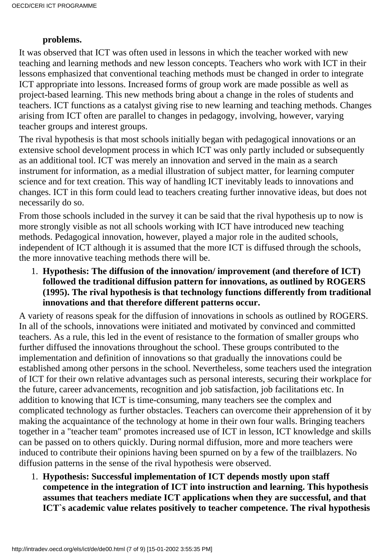#### **problems.**

It was observed that ICT was often used in lessons in which the teacher worked with new teaching and learning methods and new lesson concepts. Teachers who work with ICT in their lessons emphasized that conventional teaching methods must be changed in order to integrate ICT appropriate into lessons. Increased forms of group work are made possible as well as project-based learning. This new methods bring about a change in the roles of students and teachers. ICT functions as a catalyst giving rise to new learning and teaching methods. Changes arising from ICT often are parallel to changes in pedagogy, involving, however, varying teacher groups and interest groups.

The rival hypothesis is that most schools initially began with pedagogical innovations or an extensive school development process in which ICT was only partly included or subsequently as an additional tool. ICT was merely an innovation and served in the main as a search instrument for information, as a medial illustration of subject matter, for learning computer science and for text creation. This way of handling ICT inevitably leads to innovations and changes. ICT in this form could lead to teachers creating further innovative ideas, but does not necessarily do so.

From those schools included in the survey it can be said that the rival hypothesis up to now is more strongly visible as not all schools working with ICT have introduced new teaching methods. Pedagogical innovation, however, played a major role in the audited schools, independent of ICT although it is assumed that the more ICT is diffused through the schools, the more innovative teaching methods there will be.

**Hypothesis: The diffusion of the innovation/ improvement (and therefore of ICT)** 1. **followed the traditional diffusion pattern for innovations, as outlined by ROGERS (1995). The rival hypothesis is that technology functions differently from traditional innovations and that therefore different patterns occur.**

A variety of reasons speak for the diffusion of innovations in schools as outlined by ROGERS. In all of the schools, innovations were initiated and motivated by convinced and committed teachers. As a rule, this led in the event of resistance to the formation of smaller groups who further diffused the innovations throughout the school. These groups contributed to the implementation and definition of innovations so that gradually the innovations could be established among other persons in the school. Nevertheless, some teachers used the integration of ICT for their own relative advantages such as personal interests, securing their workplace for the future, career advancements, recognition and job satisfaction, job facilitations etc. In addition to knowing that ICT is time-consuming, many teachers see the complex and complicated technology as further obstacles. Teachers can overcome their apprehension of it by making the acquaintance of the technology at home in their own four walls. Bringing teachers together in a "teacher team" promotes increased use of ICT in lesson, ICT knowledge and skills can be passed on to others quickly. During normal diffusion, more and more teachers were induced to contribute their opinions having been spurned on by a few of the trailblazers. No diffusion patterns in the sense of the rival hypothesis were observed.

**Hypothesis: Successful implementation of ICT depends mostly upon staff** 1. **competence in the integration of ICT into instruction and learning. This hypothesis assumes that teachers mediate ICT applications when they are successful, and that ICT`s academic value relates positively to teacher competence. The rival hypothesis**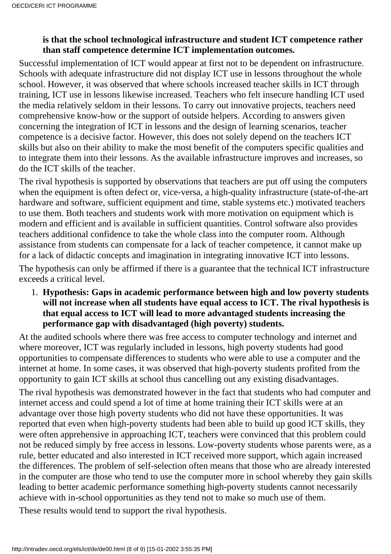#### **is that the school technological infrastructure and student ICT competence rather than staff competence determine ICT implementation outcomes.**

Successful implementation of ICT would appear at first not to be dependent on infrastructure. Schools with adequate infrastructure did not display ICT use in lessons throughout the whole school. However, it was observed that where schools increased teacher skills in ICT through training, ICT use in lessons likewise increased. Teachers who felt insecure handling ICT used the media relatively seldom in their lessons. To carry out innovative projects, teachers need comprehensive know-how or the support of outside helpers. According to answers given concerning the integration of ICT in lessons and the design of learning scenarios, teacher competence is a decisive factor. However, this does not solely depend on the teacher s ICT skills but also on their ability to make the most benefit of the computer s specific qualities and to integrate them into their lessons. As the available infrastructure improves and increases, so do the ICT skills of the teacher.

The rival hypothesis is supported by observations that teachers are put off using the computers when the equipment is often defect or, vice-versa, a high-quality infrastructure (state-of-the-art hardware and software, sufficient equipment and time, stable systems etc.) motivated teachers to use them. Both teachers and students work with more motivation on equipment which is modern and efficient and is available in sufficient quantities. Control software also provides teachers additional confidence to take the whole class into the computer room. Although assistance from students can compensate for a lack of teacher competence, it cannot make up for a lack of didactic concepts and imagination in integrating innovative ICT into lessons. The hypothesis can only be affirmed if there is a guarantee that the technical ICT infrastructure exceeds a critical level.

**Hypothesis: Gaps in academic performance between high and low poverty students** 1. **will not increase when all students have equal access to ICT. The rival hypothesis is that equal access to ICT will lead to more advantaged students increasing the performance gap with disadvantaged (high poverty) students.**

At the audited schools where there was free access to computer technology and internet and where moreover, ICT was regularly included in lessons, high poverty students had good opportunities to compensate differences to students who were able to use a computer and the internet at home. In some cases, it was observed that high-poverty students profited from the opportunity to gain ICT skills at school thus cancelling out any existing disadvantages.

The rival hypothesis was demonstrated however in the fact that students who had computer and internet access and could spend a lot of time at home training their ICT skills were at an advantage over those high poverty students who did not have these opportunities. It was reported that even when high-poverty students had been able to build up good ICT skills, they were often apprehensive in approaching ICT, teachers were convinced that this problem could not be reduced simply by free access in lessons. Low-poverty students whose parents were, as a rule, better educated and also interested in ICT received more support, which again increased the differences. The problem of self-selection often means that those who are already interested in the computer are those who tend to use the computer more in school whereby they gain skills leading to better academic performance something high-poverty students cannot necessarily achieve with in-school opportunities as they tend not to make so much use of them.

These results would tend to support the rival hypothesis.